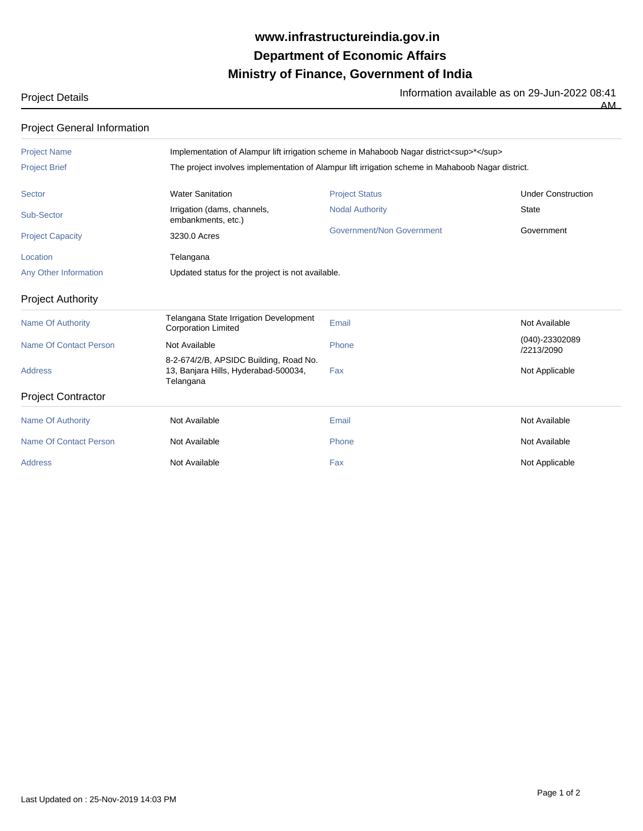## **Ministry of Finance, Government of India Department of Economic Affairs www.infrastructureindia.gov.in**

Project Details **Information available as on 29-Jun-2022 08:41** 

 $\overline{AM}$ 

Project General Information

| Implementation of Alampur lift irrigation scheme in Mahaboob Nagar district <sup>*</sup>          |                           |                              |  |
|---------------------------------------------------------------------------------------------------|---------------------------|------------------------------|--|
| The project involves implementation of Alampur lift irrigation scheme in Mahaboob Nagar district. |                           |                              |  |
| <b>Water Sanitation</b>                                                                           | <b>Project Status</b>     | <b>Under Construction</b>    |  |
| Irrigation (dams, channels,<br>embankments, etc.)                                                 | <b>Nodal Authority</b>    | <b>State</b>                 |  |
| 3230.0 Acres                                                                                      | Government/Non Government | Government                   |  |
| Telangana                                                                                         |                           |                              |  |
| Updated status for the project is not available.                                                  |                           |                              |  |
|                                                                                                   |                           |                              |  |
| Telangana State Irrigation Development<br><b>Corporation Limited</b>                              | Email                     | Not Available                |  |
| Not Available                                                                                     | Phone                     | (040)-23302089<br>/2213/2090 |  |
| 8-2-674/2/B, APSIDC Building, Road No.<br>13, Banjara Hills, Hyderabad-500034,<br>Telangana       | Fax                       | Not Applicable               |  |
|                                                                                                   |                           |                              |  |
| Not Available                                                                                     | Email                     | Not Available                |  |
| Not Available                                                                                     | Phone                     | Not Available                |  |
| Not Available                                                                                     | Fax                       | Not Applicable               |  |
|                                                                                                   |                           |                              |  |